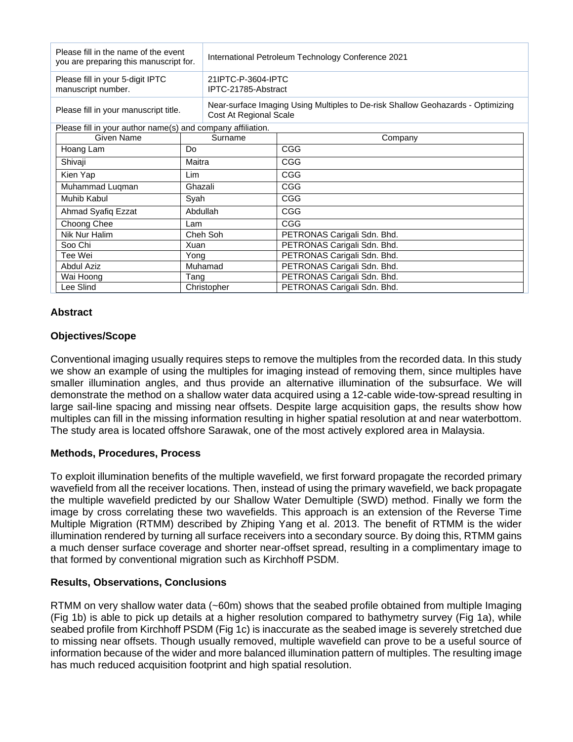| Please fill in the name of the event<br>you are preparing this manuscript for. |             | International Petroleum Technology Conference 2021                                                        |                             |
|--------------------------------------------------------------------------------|-------------|-----------------------------------------------------------------------------------------------------------|-----------------------------|
| Please fill in your 5-digit IPTC<br>manuscript number.                         |             | 21IPTC-P-3604-IPTC<br>IPTC-21785-Abstract                                                                 |                             |
| Please fill in your manuscript title.                                          |             | Near-surface Imaging Using Multiples to De-risk Shallow Geohazards - Optimizing<br>Cost At Regional Scale |                             |
| Please fill in your author name(s) and company affiliation.                    |             |                                                                                                           |                             |
| Given Name                                                                     | Surname     |                                                                                                           | Company                     |
| Hoang Lam                                                                      | Do          |                                                                                                           | <b>CGG</b>                  |
| Shivaji                                                                        | Maitra      |                                                                                                           | <b>CGG</b>                  |
| Kien Yap                                                                       | Lim         |                                                                                                           | <b>CGG</b>                  |
| Muhammad Luqman                                                                | Ghazali     |                                                                                                           | <b>CGG</b>                  |
| <b>Muhib Kabul</b>                                                             | Syah        |                                                                                                           | <b>CGG</b>                  |
| Ahmad Syafiq Ezzat                                                             | Abdullah    |                                                                                                           | <b>CGG</b>                  |
| Choong Chee                                                                    | Lam         |                                                                                                           | <b>CGG</b>                  |
| Nik Nur Halim                                                                  | Cheh Soh    |                                                                                                           | PETRONAS Carigali Sdn. Bhd. |
| Soo Chi                                                                        | Xuan        |                                                                                                           | PETRONAS Carigali Sdn. Bhd. |
| Tee Wei                                                                        | Yong        |                                                                                                           | PETRONAS Carigali Sdn. Bhd. |
| <b>Abdul Aziz</b>                                                              | Muhamad     |                                                                                                           | PETRONAS Carigali Sdn. Bhd. |
| Wai Hoong                                                                      | Tang        |                                                                                                           | PETRONAS Carigali Sdn. Bhd. |
| Lee Slind                                                                      | Christopher |                                                                                                           | PETRONAS Carigali Sdn. Bhd. |

# **Abstract**

# **Objectives/Scope**

Conventional imaging usually requires steps to remove the multiples from the recorded data. In this study we show an example of using the multiples for imaging instead of removing them, since multiples have smaller illumination angles, and thus provide an alternative illumination of the subsurface. We will demonstrate the method on a shallow water data acquired using a 12-cable wide-tow-spread resulting in large sail-line spacing and missing near offsets. Despite large acquisition gaps, the results show how multiples can fill in the missing information resulting in higher spatial resolution at and near waterbottom. The study area is located offshore Sarawak, one of the most actively explored area in Malaysia.

### **Methods, Procedures, Process**

To exploit illumination benefits of the multiple wavefield, we first forward propagate the recorded primary wavefield from all the receiver locations. Then, instead of using the primary wavefield, we back propagate the multiple wavefield predicted by our Shallow Water Demultiple (SWD) method. Finally we form the image by cross correlating these two wavefields. This approach is an extension of the Reverse Time Multiple Migration (RTMM) described by Zhiping Yang et al. 2013. The benefit of RTMM is the wider illumination rendered by turning all surface receivers into a secondary source. By doing this, RTMM gains a much denser surface coverage and shorter near-offset spread, resulting in a complimentary image to that formed by conventional migration such as Kirchhoff PSDM.

# **Results, Observations, Conclusions**

RTMM on very shallow water data (~60m) shows that the seabed profile obtained from multiple Imaging (Fig 1b) is able to pick up details at a higher resolution compared to bathymetry survey (Fig 1a), while seabed profile from Kirchhoff PSDM (Fig 1c) is inaccurate as the seabed image is severely stretched due to missing near offsets. Though usually removed, multiple wavefield can prove to be a useful source of information because of the wider and more balanced illumination pattern of multiples. The resulting image has much reduced acquisition footprint and high spatial resolution.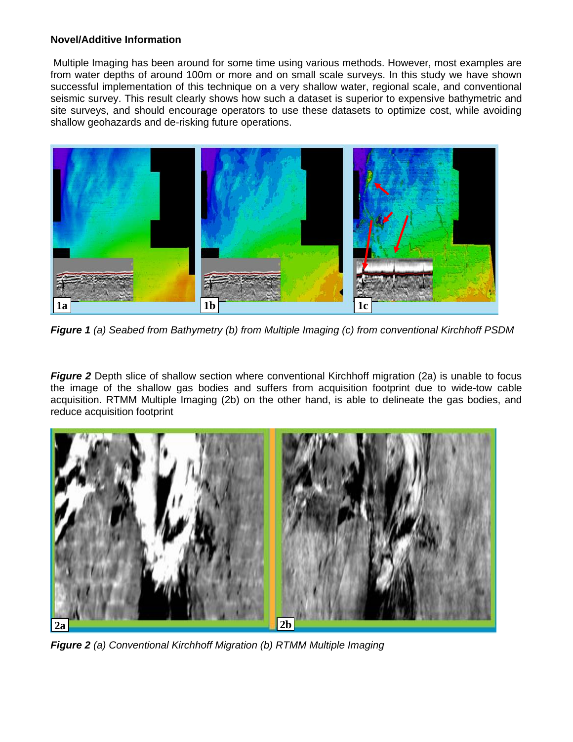### **Novel/Additive Information**

Multiple Imaging has been around for some time using various methods. However, most examples are from water depths of around 100m or more and on small scale surveys. In this study we have shown successful implementation of this technique on a very shallow water, regional scale, and conventional seismic survey. This result clearly shows how such a dataset is superior to expensive bathymetric and site surveys, and should encourage operators to use these datasets to optimize cost, while avoiding shallow geohazards and de-risking future operations.



*Figure 1 (a) Seabed from Bathymetry (b) from Multiple Imaging (c) from conventional Kirchhoff PSDM*

*Figure 2* Depth slice of shallow section where conventional Kirchhoff migration (2a) is unable to focus the image of the shallow gas bodies and suffers from acquisition footprint due to wide-tow cable acquisition. RTMM Multiple Imaging (2b) on the other hand, is able to delineate the gas bodies, and reduce acquisition footprint



*Figure 2 (a) Conventional Kirchhoff Migration (b) RTMM Multiple Imaging*